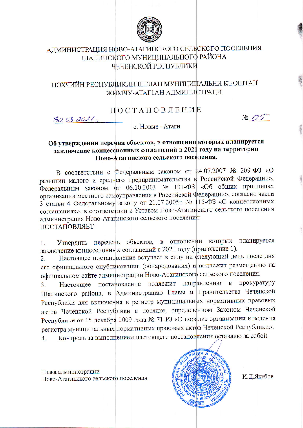

# АДМИНИСТРАЦИЯ НОВО-АТАГИНСКОГО СЕЛЬСКОГО ПОСЕЛЕНИЯ ШАЛИНСКОГО МУНИЦИПАЛЬНОГО РАЙОНА ЧЕЧЕНСКОЙ РЕСПУБЛИКИ

## НОХЧИЙН РЕСПУБЛИКИН ШЕЛАН МУНИЦИПАЛЬНИ КЪОШТАН ЖИМЧУ-АТАГ1АН АДМИНИСТРАЦИ

ПОСТАНОВЛЕНИЕ

 $30.03.0011$ 

 $N<sup>0</sup>$   $OS$ 

с. Новые -Атаги

#### Об утверждении перечня объектов, в отношении которых планируется заключение концессионных соглашений в 2021 году на территории Ново-Атагинского сельского поселения.

В соответствии с Федеральным законом от 24.07.2007 № 209-ФЗ «О развитии малого и среднего предпринимательства в Российской Федерации», Федеральным законом от 06.10.2003 № 131-ФЗ «Об общих принципах организации местного самоуправления в Российской Федерации», согласно части 3 статьи 4 Федеральному закону от 21.07.2005г. № 115-ФЗ «О концессионных соглашениях», в соответствии с Уставом Ново-Атагинского сельского поселения администрация Ново-Атагинского сельского поселения: ПОСТАНОВЛЯЕТ:

Утвердить перечень объектов, в отношении которых планируется  $\mathbf{1}$ заключение концессионных соглашений в 2021 году (приложение 1).

Настоящее постановление вступает в силу на следующий день после дня  $2.$ его официального опубликования (обнародования) и подлежит размещению на официальном сайте администрации Ново-Атагинского сельского поселения.

Настоящее постановление подлежит направлению в прокуратуру  $3.$ Шалинского района, в Администрацию Главы и Правительства Чеченской Республики для включения в регистр муниципальных нормативных правовых актов Чеченской Республики в порядке, определенном Законом Чеченской Республики от 15 декабря 2009 года № 71-РЗ «О порядке организации и ведения регистра муниципальных нормативных правовых актов Чеченской Республики». Контроль за выполнением настоящего постановления оставляю за собой.  $\overline{4}$ .

Глава администрации Ново-Атагинского сельского поселения



И.Д.Якубов